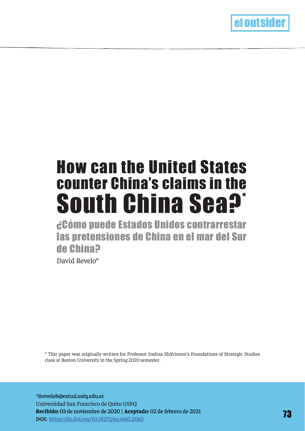

# counter China's claims in the South China Sea?\* How can the United States

¿Cómo puede Estados Unidos contrarrestar las pretensiones de China en el mar del Sur de China? David Revelo\*

\* This paper was originally written for Professor Joshua Shifrinson's Foundations of Strategic Studies class at Boston University in the Spring 2020 semester.

\*drevelob@estud.usfq.edu.ec Universidad San Francisco de Quito USFQ **Recibido:** 03 de noviembre de 2020 | **Aceptado:** 02 de febrero de 2021 **DOI:** https//dx.doi.org/10.18272/eo.v6i0.2063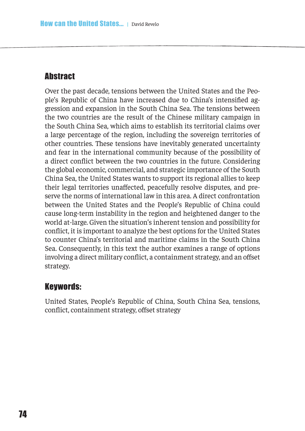# **Abstract**

Over the past decade, tensions between the United States and the People's Republic of China have increased due to China's intensifed aggression and expansion in the South China Sea. The tensions between the two countries are the result of the Chinese military campaign in the South China Sea, which aims to establish its territorial claims over a large percentage of the region, including the sovereign territories of other countries. These tensions have inevitably generated uncertainty and fear in the international community because of the possibility of a direct confict between the two countries in the future. Considering the global economic, commercial, and strategic importance of the South China Sea, the United States wants to support its regional allies to keep their legal territories unafected, peacefully resolve disputes, and preserve the norms of international law in this area. A direct confrontation between the United States and the People's Republic of China could cause long-term instability in the region and heightened danger to the world at-large. Given the situation's inherent tension and possibility for confict, it is important to analyze the best options for the United States to counter China's territorial and maritime claims in the South China Sea. Consequently, in this text the author examines a range of options involving a direct military conflict, a containment strategy, and an offset strategy.

## Keywords:

United States, People's Republic of China, South China Sea, tensions, conflict, containment strategy, offset strategy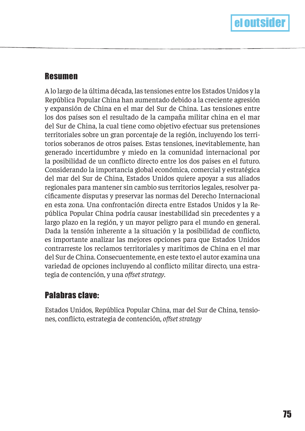## Resumen

A lo largo de la última década, las tensiones entre los Estados Unidos y la República Popular China han aumentado debido a la creciente agresión y expansión de China en el mar del Sur de China. Las tensiones entre los dos países son el resultado de la campaña militar china en el mar del Sur de China, la cual tiene como objetivo efectuar sus pretensiones territoriales sobre un gran porcentaje de la región, incluyendo los territorios soberanos de otros países. Estas tensiones, inevitablemente, han generado incertidumbre y miedo en la comunidad internacional por la posibilidad de un conficto directo entre los dos países en el futuro. Considerando la importancia global económica, comercial y estratégica del mar del Sur de China, Estados Unidos quiere apoyar a sus aliados regionales para mantener sin cambio sus territorios legales, resolver pacífcamente disputas y preservar las normas del Derecho Internacional en esta zona. Una confrontación directa entre Estados Unidos y la República Popular China podría causar inestabilidad sin precedentes y a largo plazo en la región, y un mayor peligro para el mundo en general. Dada la tensión inherente a la situación y la posibilidad de conficto, es importante analizar las mejores opciones para que Estados Unidos contrarreste los reclamos territoriales y marítimos de China en el mar del Sur de China. Consecuentemente, en este texto el autor examina una variedad de opciones incluyendo al conficto militar directo, una estrategia de contención, y una *ofset strategy*.

# Palabras clave:

Estados Unidos, República Popular China, mar del Sur de China, tensiones, conficto, estrategia de contención, *ofset strategy*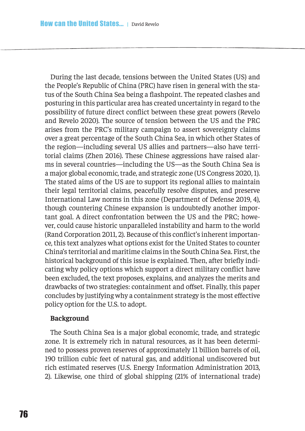During the last decade, tensions between the United States (US) and the People's Republic of China (PRC) have risen in general with the status of the South China Sea being a fashpoint. The repeated clashes and posturing in this particular area has created uncertainty in regard to the possibility of future direct confict between these great powers (Revelo and Revelo 2020). The source of tension between the US and the PRC arises from the PRC's military campaign to assert sovereignty claims over a great percentage of the South China Sea, in which other States of the region—including several US allies and partners—also have territorial claims (Zhen 2016). These Chinese aggressions have raised alarms in several countries—including the US—as the South China Sea is a major global economic, trade, and strategic zone (US Congress 2020, 1). The stated aims of the US are to support its regional allies to maintain their legal territorial claims, peacefully resolve disputes, and preserve International Law norms in this zone (Department of Defense 2019, 4), though countering Chinese expansion is undoubtedly another important goal. A direct confrontation between the US and the PRC; however, could cause historic unparalleled instability and harm to the world (Rand Corporation 2011, 2). Because of this confict's inherent importance, this text analyzes what options exist for the United States to counter China's territorial and maritime claims in the South China Sea. First, the historical background of this issue is explained. Then, after briefy indicating why policy options which support a direct military confict have been excluded, the text proposes, explains, and analyzes the merits and drawbacks of two strategies: containment and ofset. Finally, this paper concludes by justifying why a containment strategy is the most efective policy option for the U.S. to adopt.

## **Background**

The South China Sea is a major global economic, trade, and strategic zone. It is extremely rich in natural resources, as it has been determined to possess proven reserves of approximately 11 billion barrels of oil, 190 trillion cubic feet of natural gas, and additional undiscovered but rich estimated reserves (U.S. Energy Information Administration 2013, 2). Likewise, one third of global shipping (21% of international trade)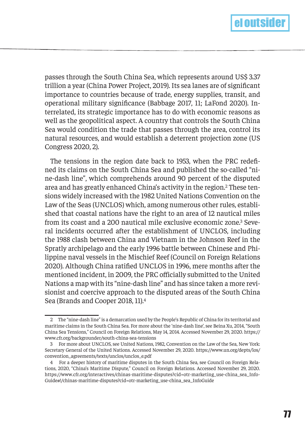

passes through the South China Sea, which represents around US\$ 3.37 trillion a year (China Power Project, 2019). Its sea lanes are of signifcant importance to countries because of trade, energy supplies, transit, and operational military signifcance (Babbage 2017, 11; LaFond 2020). Interrelated, its strategic importance has to do with economic reasons as well as the geopolitical aspect. A country that controls the South China Sea would condition the trade that passes through the area, control its natural resources, and would establish a deterrent projection zone (US Congress 2020, 2).

The tensions in the region date back to 1953, when the PRC redefned its claims on the South China Sea and published the so-called "nine-dash line", which comprehends around 90 percent of the disputed area and has greatly enhanced China's activity in the region.2 These tensions widely increased with the 1982 United Nations Convention on the Law of the Seas (UNCLOS) which, among numerous other rules, established that coastal nations have the right to an area of 12 nautical miles from its coast and a 200 nautical mile exclusive economic zone.3 Several incidents occurred after the establishment of UNCLOS, including the 1988 clash between China and Vietnam in the Johnson Reef in the Spratly archipelago and the early 1996 battle between Chinese and Philippine naval vessels in the Mischief Reef (Council on Foreign Relations 2020). Although China ratifed UNCLOS in 1996, mere months after the mentioned incident, in 2009, the PRC oficially submitted to the United Nations a map with its "nine-dash line" and has since taken a more revisionist and coercive approach to the disputed areas of the South China Sea (Brands and Cooper 2018, 11).4

<sup>2</sup> The "nine-dash line" is a demarcation used by the People's Republic of China for its territorial and maritime claims in the South China Sea. For more about the 'nine-dash line', see Beina Xu, 2014, "South China Sea Tensions," Council on Foreign Relations, May 14, 2014. Accessed November 29, 2020. https:// www.cfr.org/backgrounder/south-china-sea-tensions

<sup>3</sup> For more about UNCLOS, see United Nations, 1982, Convention on the Law of the Sea, New York: Secretary General of the United Nations. Accessed November 29, 2020. https://www.un.org/depts/los/ convention\_agreements/texts/unclos/unclos\_e.pdf

<sup>4</sup> For a deeper history of maritime disputes in the South China Sea, see Council on Foreign Relations, 2020, "China's Maritime Dispute," Council on Foreign Relations. Accessed November 29, 2020. https://www.cfr.org/interactives/chinas-maritime-disputes?cid=otr-marketing\_use-china\_sea\_Info-Guide#!/chinas-maritime-disputes?cid=otr-marketing\_use-china\_sea\_InfoGuide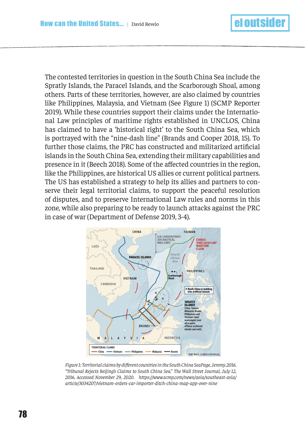The contested territories in question in the South China Sea include the Spratly Islands, the Paracel Islands, and the Scarborough Shoal, among others. Parts of these territories, however, are also claimed by countries like Philippines, Malaysia, and Vietnam (See Figure 1) (SCMP Reporter 2019). While these countries support their claims under the International Law principles of maritime rights established in UNCLOS, China has claimed to have a 'historical right' to the South China Sea, which is portrayed with the "nine-dash line" (Brands and Cooper 2018, 15). To further those claims, the PRC has constructed and militarized artifcial islands in the South China Sea, extending their military capabilities and presence in it (Beech 2018). Some of the afected countries in the region, like the Philippines, are historical US allies or current political partners. The US has established a strategy to help its allies and partners to conserve their legal territorial claims, to support the peaceful resolution of disputes, and to preserve International Law rules and norms in this zone, while also preparing to be ready to launch attacks against the PRC in case of war (Department of Defense 2019, 3-4).



*Figure 1: Territorial claims by diferent countries in the South China SeaPage, Jeremy. 2016. "Tribunal Rejects Beijing's Claims to South China Sea." The Wall Street Journal, July 12, 2016. Accessed November 29, 2020. https://www.scmp.com/news/asia/southeast-asia/ article/3034207/vietnam-orders-car-importer-ditch-china-map-app-over-nine*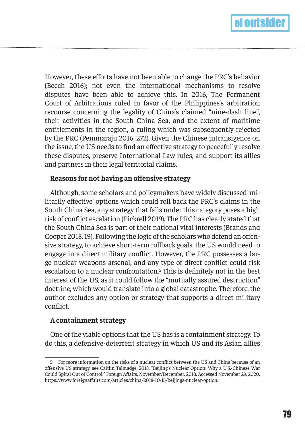

However, these eforts have not been able to change the PRC's behavior (Beech 2016); not even the international mechanisms to resolve disputes have been able to achieve this. In 2016, The Permanent Court of Arbitrations ruled in favor of the Philippines's arbitration recourse concerning the legality of China's claimed "nine-dash line", their activities in the South China Sea, and the extent of maritime entitlements in the region, a ruling which was subsequently rejected by the PRC (Pemmaraju 2016, 272). Given the Chinese intransigence on the issue, the US needs to fnd an efective strategy to peacefully resolve these disputes, preserve International Law rules, and support its allies and partners in their legal territorial claims.

#### **Reasons for not having an ofensive strategy**

Although, some scholars and policymakers have widely discussed 'militarily efective' options which could roll back the PRC's claims in the South China Sea, any strategy that falls under this category poses a high risk of confict escalation (Pickrell 2019). The PRC has clearly stated that the South China Sea is part of their national vital interests (Brands and Cooper 2018, 19). Following the logic of the scholars who defend an ofensive strategy, to achieve short-term rollback goals, the US would need to engage in a direct military confict. However, the PRC possesses a large nuclear weapons arsenal, and any type of direct confict could risk escalation to a nuclear confrontation.5 This is defnitely not in the best interest of the US, as it could follow the "mutually assured destruction" doctrine, which would translate into a global catastrophe. Therefore, the author excludes any option or strategy that supports a direct military confict.

#### **A containment strategy**

One of the viable options that the US has is a containment strategy. To do this, a defensive-deterrent strategy in which US and its Asian allies

<sup>5</sup> For more information on the risks of a nuclear confict between the US and China because of an ofensive US strategy, see Caitlin Talmadge, 2018, "Beijing's Nuclear Option: Why a U.S.-Chinese War Could Spiral Out of Control." Foreign Afairs, November/December, 2018. Accessed November 29, 2020. https://www.foreignafairs.com/articles/china/2018-10-15/beijings-nuclear-option.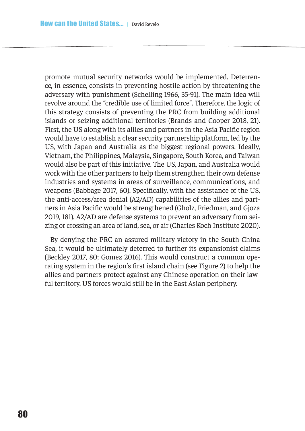promote mutual security networks would be implemented. Deterrence, in essence, consists in preventing hostile action by threatening the adversary with punishment (Schelling 1966, 35-91). The main idea will revolve around the "credible use of limited force". Therefore, the logic of this strategy consists of preventing the PRC from building additional islands or seizing additional territories (Brands and Cooper 2018, 21). First, the US along with its allies and partners in the Asia Pacifc region would have to establish a clear security partnership platform, led by the US, with Japan and Australia as the biggest regional powers. Ideally, Vietnam, the Philippines, Malaysia, Singapore, South Korea, and Taiwan would also be part of this initiative. The US, Japan, and Australia would work with the other partners to help them strengthen their own defense industries and systems in areas of surveillance, communications, and weapons (Babbage 2017, 60). Specifcally, with the assistance of the US, the anti-access/area denial (A2/AD) capabilities of the allies and partners in Asia Pacifc would be strengthened (Gholz, Friedman, and Gjoza 2019, 181). A2/AD are defense systems to prevent an adversary from seizing or crossing an area of land, sea, or air (Charles Koch Institute 2020).

By denying the PRC an assured military victory in the South China Sea, it would be ultimately deterred to further its expansionist claims (Beckley 2017, 80; Gomez 2016). This would construct a common operating system in the region's frst island chain (see Figure 2) to help the allies and partners protect against any Chinese operation on their lawful territory. US forces would still be in the East Asian periphery.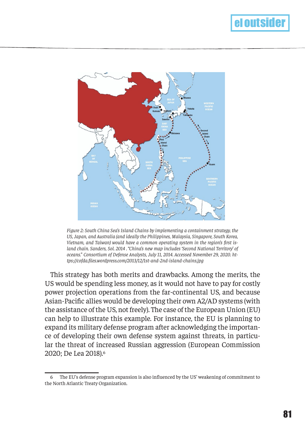

*Figure 2: South China Sea's Island Chains by implementing a containment strategy, the US, Japan, and Australia (and ideally the Philippines, Malaysia, Singapore, South Korea, Vietnam, and Taiwan) would have a common operating system in the region's frst island chain. Sanders, Sol. 2014 . "China's new map includes 'Second National Territory' of oceans." Consortium of Defense Analysts, July 11, 2014. Accessed November 29, 2020. https://cofda.fles.wordpress.com/2013/12/1st-and-2nd-island-chains.jpg*

This strategy has both merits and drawbacks. Among the merits, the US would be spending less money, as it would not have to pay for costly power projection operations from the far-continental US, and because Asian-Pacifc allies would be developing their own A2/AD systems (with the assistance of the US, not freely). The case of the European Union (EU) can help to illustrate this example. For instance, the EU is planning to expand its military defense program after acknowledging the importance of developing their own defense system against threats, in particular the threat of increased Russian aggression (European Commission 2020; De Lea 2018).6

<sup>6</sup> The EU's defense program expansion is also infuenced by the US' weakening of commitment to the North Atlantic Treaty Organization.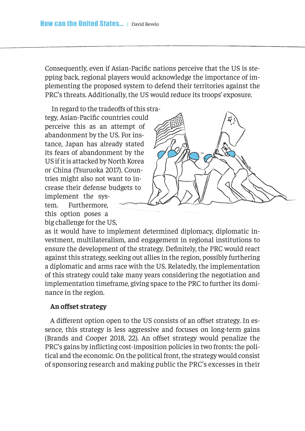Consequently, even if Asian-Pacifc nations perceive that the US is stepping back, regional players would acknowledge the importance of implementing the proposed system to defend their territories against the PRC's threats. Additionally, the US would reduce its troops' exposure.

 In regard to the tradeofs of this strategy, Asian-Pacifc countries could perceive this as an attempt of abandonment by the US. For instance, Japan has already stated its fears of abandonment by the US if it is attacked by North Korea or China (Tsuruoka 2017). Countries might also not want to increase their defense budgets to implement the system. Furthermore, this option poses a



big challenge for the US, as it would have to implement determined diplomacy, diplomatic investment, multilateralism, and engagement in regional institutions to ensure the development of the strategy. Defnitely, the PRC would react against this strategy, seeking out allies in the region, possibly furthering a diplomatic and arms race with the US. Relatedly, the implementation of this strategy could take many years considering the negotiation and implementation timeframe, giving space to the PRC to further its dominance in the region.

### **An ofset strategy**

A different option open to the US consists of an offset strategy. In essence, this strategy is less aggressive and focuses on long-term gains (Brands and Cooper 2018, 22). An offset strategy would penalize the PRC's gains by inficting cost-imposition policies in two fronts: the political and the economic. On the political front, the strategy would consist of sponsoring research and making public the PRC's excesses in their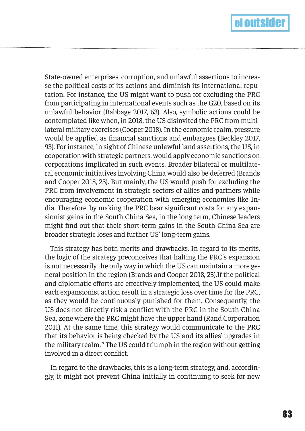

State-owned enterprises, corruption, and unlawful assertions to increase the political costs of its actions and diminish its international reputation. For instance, the US might want to push for excluding the PRC from participating in international events such as the G20, based on its unlawful behavior (Babbage 2017, 63). Also, symbolic actions could be contemplated like when, in 2018, the US disinvited the PRC from multilateral military exercises (Cooper 2018). In the economic realm, pressure would be applied as fnancial sanctions and embargoes (Beckley 2017, 93). For instance, in sight of Chinese unlawful land assertions, the US, in cooperation with strategic partners, would apply economic sanctions on corporations implicated in such events. Broader bilateral or multilateral economic initiatives involving China would also be deferred (Brands and Cooper 2018, 23). But mainly, the US would push for excluding the PRC from involvement in strategic sectors of allies and partners while encouraging economic cooperation with emerging economies like India. Therefore, by making the PRC bear signifcant costs for any expansionist gains in the South China Sea, in the long term, Chinese leaders might fnd out that their short-term gains in the South China Sea are broader strategic loses and further US' long-term gains.

This strategy has both merits and drawbacks. In regard to its merits, the logic of the strategy preconceives that halting the PRC's expansion is not necessarily the only way in which the US can maintain a more general position in the region (Brands and Cooper 2018, 23).If the political and diplomatic efforts are effectively implemented, the US could make each expansionist action result in a strategic loss over time for the PRC, as they would be continuously punished for them. Consequently, the US does not directly risk a conflict with the PRC in the South China Sea, zone where the PRC might have the upper hand (Rand Corporation 2011). At the same time, this strategy would communicate to the PRC that its behavior is being checked by the US and its allies' upgrades in the military realm. 7 The US could triumph in the region without getting involved in a direct confict.

In regard to the drawbacks, this is a long-term strategy, and, accordingly, it might not prevent China initially in continuing to seek for new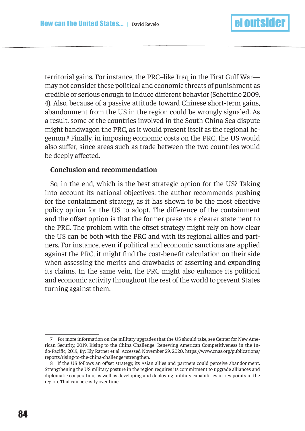territorial gains. For instance, the PRC–like Iraq in the First Gulf War may not consider these political and economic threats of punishment as credible or serious enough to induce diferent behavior (Schettino 2009, 4). Also, because of a passive attitude toward Chinese short-term gains, abandonment from the US in the region could be wrongly signaled. As a result, some of the countries involved in the South China Sea dispute might bandwagon the PRC, as it would present itself as the regional hegemon.8 Finally, in imposing economic costs on the PRC, the US would also sufer, since areas such as trade between the two countries would be deeply affected.

#### **Conclusion and recommendation**

So, in the end, which is the best strategic option for the US? Taking into account its national objectives, the author recommends pushing for the containment strategy, as it has shown to be the most efective policy option for the US to adopt. The diference of the containment and the offset option is that the former presents a clearer statement to the PRC. The problem with the offset strategy might rely on how clear the US can be both with the PRC and with its regional allies and partners. For instance, even if political and economic sanctions are applied against the PRC, it might fnd the cost-beneft calculation on their side when assessing the merits and drawbacks of asserting and expanding its claims. In the same vein, the PRC might also enhance its political and economic activity throughout the rest of the world to prevent States turning against them.

<sup>7</sup> For more information on the military upgrades that the US should take, see Center for New American Security, 2019, Rising to the China Challenge: Renewing American Competitiveness in the Indo-Pacifc, 2019, By: Ely Ratner et al. Accessed November 29, 2020. https://www.cnas.org/publications/ reports/rising-to-the-china-challenge#strengthen.

<sup>8</sup> If the US follows an offset strategy, its Asian allies and partners could perceive abandonment. Strengthening the US military posture in the region requires its commitment to upgrade alliances and diplomatic cooperation, as well as developing and deploying military capabilities in key points in the region. That can be costly over time.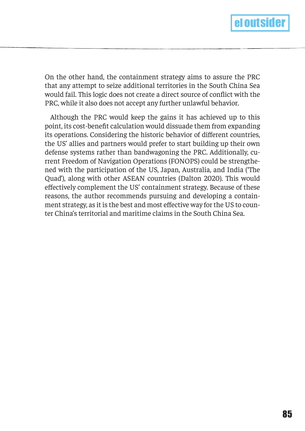

On the other hand, the containment strategy aims to assure the PRC that any attempt to seize additional territories in the South China Sea would fail. This logic does not create a direct source of confict with the PRC, while it also does not accept any further unlawful behavior.

Although the PRC would keep the gains it has achieved up to this point, its cost-beneft calculation would dissuade them from expanding its operations. Considering the historic behavior of diferent countries, the US' allies and partners would prefer to start building up their own defense systems rather than bandwagoning the PRC. Additionally, current Freedom of Navigation Operations (FONOPS) could be strengthened with the participation of the US, Japan, Australia, and India ('The Quad'), along with other ASEAN countries (Dalton 2020). This would efectively complement the US' containment strategy. Because of these reasons, the author recommends pursuing and developing a containment strategy, as it is the best and most efective way for the US to counter China's territorial and maritime claims in the South China Sea.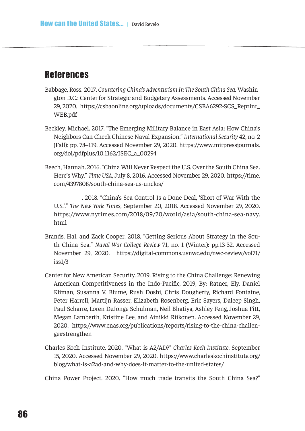## **References**

- Babbage, Ross. 2017. *Countering China's Adventurism In The South China Sea.* Washington D.C.: Center for Strategic and Budgetary Assessments. Accessed November 29, 2020. https://csbaonline.org/uploads/documents/CSBA6292-SCS\_Reprint\_ WEB.pdf
- Beckley, Michael. 2017. "The Emerging Military Balance in East Asia: How China's Neighbors Can Check Chinese Naval Expansion." *International Security* 42, no. 2 (Fall): pp. 78–119. Accessed November 29, 2020. https://www.mitpressjournals. org/doi/pdfplus/10.1162/ISEC\_a\_00294
- Beech, Hannah. 2016. "China Will Never Respect the U.S. Over the South China Sea. Here's Why." *Time USA*, July 8, 2016. Accessed November 29, 2020. https://time. com/4397808/south-china-sea-us-unclos/
	- \_\_\_\_\_\_\_\_\_\_\_\_\_. 2018. "China's Sea Control Is a Done Deal, 'Short of War With the U.S.'." *The New York Times*, September 20, 2018. Accessed November 29, 2020. https://www.nytimes.com/2018/09/20/world/asia/south-china-sea-navy. html
- Brands, Hal, and Zack Cooper. 2018. "Getting Serious About Strategy in the South China Sea." *Naval War College Review* 71, no. 1 (Winter): pp.13-32. Accessed November 29, 2020. https://digital-commons.usnwc.edu/nwc-review/vol71/ iss1/3
- Center for New American Security. 2019. Rising to the China Challenge: Renewing American Competitiveness in the Indo-Pacifc, 2019, By: Ratner, Ely, Daniel Kliman, Susanna V. Blume, Rush Doshi, Chris Dougherty, Richard Fontaine, Peter Harrell, Martijn Rasser, Elizabeth Rosenberg, Eric Sayers, Daleep Singh, Paul Scharre, Loren DeJonge Schulman, Neil Bhatiya, Ashley Feng, Joshua Fitt, Megan Lamberth, Kristine Lee, and Ainikki Riikonen. Accessed November 29, 2020. https://www.cnas.org/publications/reports/rising-to-the-china-challenge#strengthen
- Charles Koch Institute. 2020. "What is A2/AD?" *Charles Koch Institute*. September 15, 2020. Accessed November 29, 2020. https://www.charleskochinstitute.org/ blog/what-is-a2ad-and-why-does-it-matter-to-the-united-states/

China Power Project. 2020. "How much trade transits the South China Sea?"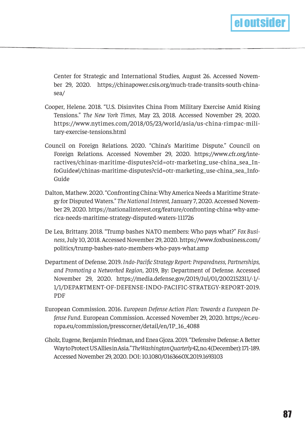

Center for Strategic and International Studies, August 26. Accessed November 29, 2020. https://chinapower.csis.org/much-trade-transits-south-chinasea/

- Cooper, Helene. 2018. "U.S. Disinvites China From Military Exercise Amid Rising Tensions." *The New York Times*, May 23, 2018. Accessed November 29, 2020. https://www.nytimes.com/2018/05/23/world/asia/us-china-rimpac-military-exercise-tensions.html
- Council on Foreign Relations. 2020. "China's Maritime Dispute." Council on Foreign Relations. Accessed November 29, 2020. https://www.cfr.org/interactives/chinas-maritime-disputes?cid=otr-marketing\_use-china\_sea\_InfoGuide#!/chinas-maritime-disputes?cid=otr-marketing\_use-china\_sea\_Info-Guide
- Dalton, Mathew. 2020. "Confronting China: Why America Needs a Maritime Strategy for Disputed Waters." *The National Interest,* January 7, 2020. Accessed November 29, 2020. https://nationalinterest.org/feature/confronting-china-why-america-needs-maritime-strategy-disputed-waters-111726
- De Lea, Brittany. 2018. "Trump bashes NATO members: Who pays what?" *Fox Business*, July 10, 2018. Accessed November 29, 2020. https://www.foxbusiness.com/ politics/trump-bashes-nato-members-who-pays-what.amp
- Department of Defense. 2019. *Indo-Pacifc Strategy Report: Preparedness, Partnerships, and Promoting a Networked Region*, 2019, By: Department of Defense. Accessed November 29, 2020. https://media.defense.gov/2019/Jul/01/2002152311/-1/- 1/1/DEPARTMENT-OF-DEFENSE-INDO-PACIFIC-STRATEGY-REPORT-2019. PDF
- European Commission. 2016. *European Defense Action Plan: Towards a European Defense Fund*. European Commission. Accessed November 29, 2020. https://ec.europa.eu/commission/presscorner/detail/en/IP\_16\_4088
- Gholz, Eugene, Benjamin Friedman, and Enea Gjoza. 2019. "Defensive Defense: A Better Way to Protect US Allies in Asia." *The Washington Quarterly* 42, no. 4 (December): 171-189. Accessed November 29, 2020. DOI: 10.1080/0163660X.2019.1693103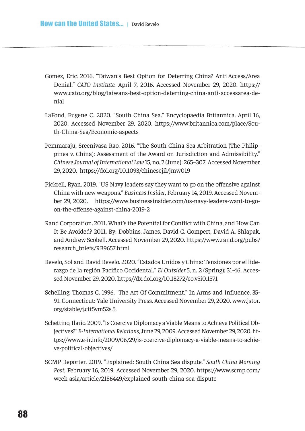- Gomez, Eric. 2016. "Taiwan's Best Option for Deterring China? Anti Access/Area Denial." *CATO Institute.* April 7, 2016. Accessed November 29, 2020. https:// www.cato.org/blog/taiwans-best-option-deterring-china-anti-accessarea-denial
- LaFond, Eugene C. 2020. "South China Sea." Encyclopaedia Britannica. April 16, 2020. Accessed November 29, 2020. https://www.britannica.com/place/South-China-Sea/Economic-aspects
- Pemmaraju, Sreenivasa Rao. 2016. "The South China Sea Arbitration (The Philippines v. China): Assessment of the Award on Jurisdiction and Admissibility." *Chinese Journal of International Law* 15, no. 2 (June): 265–307. Accessed November 29, 2020. https://doi.org/10.1093/chinesejil/jmw019
- Pickrell, Ryan. 2019. "US Navy leaders say they want to go on the ofensive against China with new weapons." *Business Insider*, February 14, 2019. Accessed November 29, 2020. https://www.businessinsider.com/us-navy-leaders-want-to-goon-the-ofense-against-china-2019-2
- Rand Corporation. 2011. What's the Potential for Confict with China, and How Can It Be Avoided? 2011, By: Dobbins, James, David C. Gompert, David A. Shlapak, and Andrew Scobell. Accessed November 29, 2020. https://www.rand.org/pubs/ research\_briefs/RB9657.html
- Revelo, Sol and David Revelo. 2020. "Estados Unidos y China: Tensiones por el liderazgo de la región Pacífco Occidental." *El Outsider* 5, n. 2 (Spring): 31-46. Accessed November 29, 2020. https//dx.doi.org/10.18272/eo.v5i0.1571
- Schelling, Thomas C. 1996. "The Art Of Commitment." In Arms and Infuence, 35- 91. Connecticut: Yale University Press. Accessed November 29, 2020. www.jstor. org/stable/j.ctt5vm52s.5.
- Schettino, Ilario. 2009. "Is Coercive Diplomacy a Viable Means to Achieve Political Objectives?" *E-International Relations*, June 29, 2009. Accessed November 29, 2020. https://www.e-ir.info/2009/06/29/is-coercive-diplomacy-a-viable-means-to-achieve-political-objectives/
- SCMP Reporter. 2019. "Explained: South China Sea dispute." *South China Morning Post*, February 16, 2019. Accessed November 29, 2020. https://www.scmp.com/ week-asia/article/2186449/explained-south-china-sea-dispute